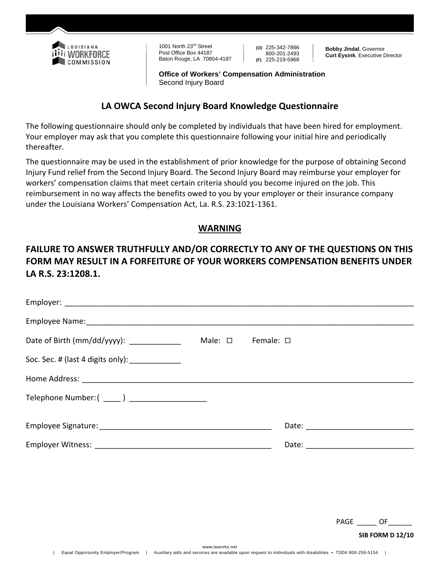

1001 North 23<sup>rd</sup> Street Post Office Box 44187 Baton Rouge, LA 70804-4187 **(O)** 225-342-7866 800-201-2493 **(F)** 225-219-5968

**Bobby Jindal**, Governor **Curt Eysink**, Executive Director

**Office of Workers' Compensation Administration**  Second Injury Board

### **LA OWCA Second Injury Board Knowledge Questionnaire**

The following questionnaire should only be completed by individuals that have been hired for employment. Your employer may ask that you complete this questionnaire following your initial hire and periodically thereafter.

The questionnaire may be used in the establishment of prior knowledge for the purpose of obtaining Second Injury Fund relief from the Second Injury Board. The Second Injury Board may reimburse your employer for workers' compensation claims that meet certain criteria should you become injured on the job. This reimbursement in no way affects the benefits owed to you by your employer or their insurance company under the Louisiana Workers' Compensation Act, La. R.S. 23:1021‐1361.

## **WARNING**

# **FAILURE TO ANSWER TRUTHFULLY AND/OR CORRECTLY TO ANY OF THE QUESTIONS ON THIS FORM MAY RESULT IN A FORFEITURE OF YOUR WORKERS COMPENSATION BENEFITS UNDER LA R.S. 23:1208.1.**

| Date of Birth (mm/dd/yyyy): ______________        | Male: $\square$ Female: $\square$ |  |
|---------------------------------------------------|-----------------------------------|--|
| Soc. Sec. # (last 4 digits only): _____________   |                                   |  |
|                                                   |                                   |  |
| Telephone Number: ( _____ ) _____________________ |                                   |  |
|                                                   |                                   |  |
|                                                   |                                   |  |

PAGE \_\_\_\_\_ OF\_\_\_\_\_\_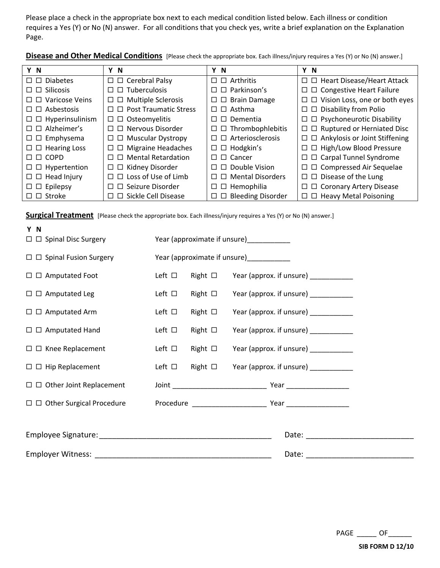Please place a check in the appropriate box next to each medical condition listed below. Each illness or condition requires a Yes (Y) or No (N) answer. For all conditions that you check yes, write a brief explanation on the Explanation Page.

**Disease and Other Medical Conditions** [Please check the appropriate box. Each illness/injury requires a Yes (Y) or No (N) answer.]

| Y N                              | Υ<br>-N                                  | Y N                             | Y N                                         |
|----------------------------------|------------------------------------------|---------------------------------|---------------------------------------------|
| $\Box$ $\Box$ Diabetes           | $\Box$ $\Box$ Cerebral Palsy             | $\square$ $\square$ Arthritis   | $\Box$ Heart Disease/Heart Attack           |
| $\square$ $\square$ Silicosis    | $\Box$ Tuberculosis<br>П                 | $\Box$ $\Box$ Parkinson's       | $\Box$ $\Box$ Congestive Heart Failure      |
| $\Box$ $\Box$ Varicose Veins     | <b>Multiple Sclerosis</b><br>$\Box$<br>□ | $\Box$ $\Box$ Brain Damage      | $\Box$ $\Box$ Vision Loss, one or both eyes |
| $\Box$ $\Box$ Asbestosis         | $\Box$ Post Traumatic Stress<br>п        | $\Box$ $\Box$ Asthma            | $\Box$ $\Box$ Disability from Polio         |
| $\Box$ $\Box$ Hyperinsulinism    | $\Box$ Osteomyelitis                     | $\Box$ $\Box$ Dementia          | $\Box$ Psychoneurotic Disability            |
| $\Box$ $\Box$ Alzheimer's        | Nervous Disorder<br>$\Box$<br>П          | $\Box$ $\Box$ Thrombophlebitis  | $\Box$ $\Box$ Ruptured or Herniated Disc    |
| $\Box$ $\Box$ Emphysema          | □ Muscular Dystropy<br>□                 | $\Box$ $\Box$ Arteriosclerosis  | $\Box$ $\Box$ Ankylosis or Joint Stiffening |
| $\square$ $\square$ Hearing Loss | <b>Migraine Headaches</b><br>□<br>$\Box$ | $\square$ $\square$ Hodgkin's   | $\Box$ $\Box$ High/Low Blood Pressure       |
| $\square$ $\square$ COPD         | $\Box$ Mental Retardation<br>п           | $\Box$ $\Box$ Cancer            | $\Box$ $\Box$ Carpal Tunnel Syndrome        |
| $\Box$ $\Box$ Hypertention       | Kidney Disorder<br>0 O                   | $\Box$ $\Box$ Double Vision     | $\Box$ $\Box$ Compressed Air Sequelae       |
| $\square$ $\square$ Head Injury  | $\Box$ Loss of Use of Limb<br>П          | $\Box$ Mental Disorders         | $\Box$ $\Box$ Disease of the Lung           |
| $\Box$ $\Box$ Epilepsy           | $\Box$ Seizure Disorder<br>п             | $\Box$ $\Box$ Hemophilia        | □ □ Coronary Artery Disease                 |
| $\square$ $\square$ Stroke       | □ Sickle Cell Disease                    | $\Box$ $\Box$ Bleeding Disorder | $\Box$ $\Box$ Heavy Metal Poisoning         |

**Surgical Treatment** [Please check the appropriate box. Each illness/injury requires a Yes (Y) or No (N) answer.]

| Y N<br>$\Box$ $\Box$ Spinal Disc Surgery |                |                 | Year (approximate if unsure)_____________         |  |
|------------------------------------------|----------------|-----------------|---------------------------------------------------|--|
| $\Box$ $\Box$ Spinal Fusion Surgery      |                |                 | Year (approximate if unsure)___________           |  |
| $\Box$ $\Box$ Amputated Foot             | Left $\Box$    |                 | Right $\Box$ Year (approx. if unsure) __________  |  |
| $\Box$ $\Box$ Amputated Leg              | Left $\Box$    |                 | Right $\Box$ Year (approx. if unsure) _________   |  |
| $\square$ $\square$ Amputated Arm        | Left $\square$ |                 | Right $\Box$ Year (approx. if unsure) __________  |  |
| $\Box$ $\Box$ Amputated Hand             | Left $\Box$    | Right $\square$ | Year (approx. if unsure) ___________              |  |
| $\Box$ $\Box$ Knee Replacement           | Left $\square$ |                 | Right $\Box$ Year (approx. if unsure) _________   |  |
| $\Box$ $\Box$ Hip Replacement            |                |                 | Left □ Right □ Year (approx. if unsure) _________ |  |
| $\Box$ $\Box$ Other Joint Replacement    |                |                 |                                                   |  |
| $\Box$ $\Box$ Other Surgical Procedure   |                |                 |                                                   |  |
|                                          |                |                 |                                                   |  |
|                                          |                |                 |                                                   |  |
|                                          |                |                 |                                                   |  |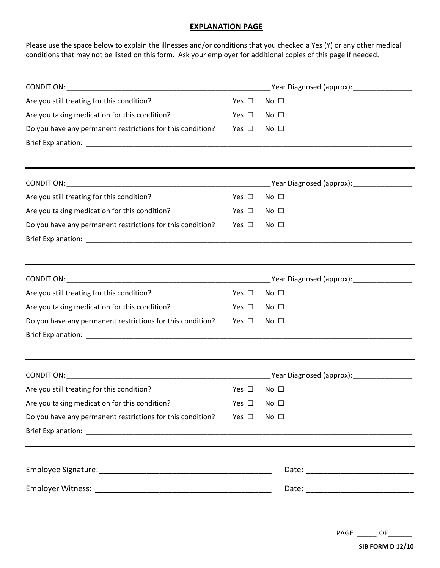#### **EXPLANATION PAGE**

Please use the space below to explain the illnesses and/or conditions that you checked a Yes (Y) or any other medical conditions that may not be listed on this form. Ask your employer for additional copies of this page if needed.

|                                                                                  | Year Diagnosed (approx): \\equimear \\equimear \\equimear \\equimear \\equimear \\equimear \\equimear \\equime |                                                                                                                                                                                                                                |  |
|----------------------------------------------------------------------------------|----------------------------------------------------------------------------------------------------------------|--------------------------------------------------------------------------------------------------------------------------------------------------------------------------------------------------------------------------------|--|
| Are you still treating for this condition?                                       | Yes $\square$                                                                                                  | No $\square$                                                                                                                                                                                                                   |  |
| Are you taking medication for this condition?                                    | Yes $\square$                                                                                                  | No <sub>1</sub>                                                                                                                                                                                                                |  |
| Do you have any permanent restrictions for this condition?                       | Yes $\square$                                                                                                  | No <sub>1</sub>                                                                                                                                                                                                                |  |
|                                                                                  |                                                                                                                |                                                                                                                                                                                                                                |  |
|                                                                                  |                                                                                                                |                                                                                                                                                                                                                                |  |
| Are you still treating for this condition?                                       | Yes $\Box$                                                                                                     | No <sub>1</sub>                                                                                                                                                                                                                |  |
| Are you taking medication for this condition?                                    | Yes $\square$                                                                                                  | No <sub>1</sub>                                                                                                                                                                                                                |  |
| Do you have any permanent restrictions for this condition?                       | Yes $\square$                                                                                                  | No $\square$                                                                                                                                                                                                                   |  |
| ,我们也不会有什么。""我们的人,我们也不会有什么?""我们的人,我们也不会有什么?""我们的人,我们也不会有什么?""我们的人,我们也不会有什么?""我们的人 |                                                                                                                |                                                                                                                                                                                                                                |  |
|                                                                                  |                                                                                                                | _Year Diagnosed (approx): __________________                                                                                                                                                                                   |  |
| Are you still treating for this condition?                                       | Yes $\Box$                                                                                                     | No $\square$                                                                                                                                                                                                                   |  |
| Are you taking medication for this condition?                                    | Yes $\square$                                                                                                  | No <sub>1</sub>                                                                                                                                                                                                                |  |
| Do you have any permanent restrictions for this condition?                       | Yes $\square$                                                                                                  | No <sub>1</sub>                                                                                                                                                                                                                |  |
|                                                                                  |                                                                                                                |                                                                                                                                                                                                                                |  |
|                                                                                  |                                                                                                                |                                                                                                                                                                                                                                |  |
| Are you still treating for this condition?                                       | Yes $\square$                                                                                                  | No <sub>1</sub>                                                                                                                                                                                                                |  |
| Are you taking medication for this condition?                                    | Yes □ No □                                                                                                     |                                                                                                                                                                                                                                |  |
| Do you have any permanent restrictions for this condition?                       | Yes $\square$                                                                                                  | No $\square$                                                                                                                                                                                                                   |  |
|                                                                                  |                                                                                                                |                                                                                                                                                                                                                                |  |
|                                                                                  |                                                                                                                |                                                                                                                                                                                                                                |  |
|                                                                                  |                                                                                                                | Date: National Contract of Contract of Contract of Contract of Contract of Contract of Contract of Contract of Contract of Contract of Contract of Contract of Contract of Contract of Contract of Contract of Contract of Con |  |

PAGE \_\_\_\_\_\_ OF \_\_\_\_\_\_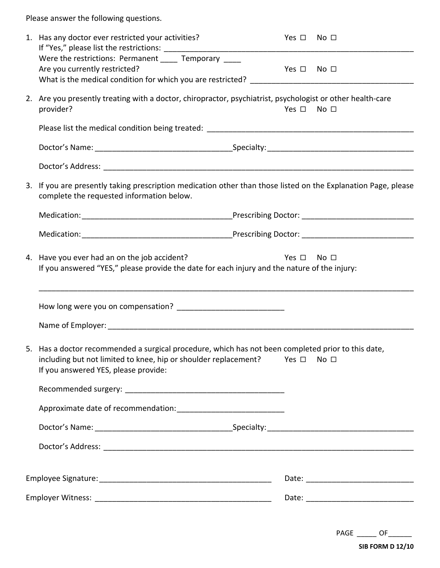Please answer the following questions.

|                                                                                                                                                                            | 1. Has any doctor ever restricted your activities?<br>Were the restrictions: Permanent _____ Temporary ____<br>Are you currently restricted?                                                                                       | Yes □ No □<br>Yes □ No □ |                |
|----------------------------------------------------------------------------------------------------------------------------------------------------------------------------|------------------------------------------------------------------------------------------------------------------------------------------------------------------------------------------------------------------------------------|--------------------------|----------------|
|                                                                                                                                                                            | 2. Are you presently treating with a doctor, chiropractor, psychiatrist, psychologist or other health-care<br>provider?                                                                                                            | Yes $\square$            | $No$ $\square$ |
|                                                                                                                                                                            |                                                                                                                                                                                                                                    |                          |                |
|                                                                                                                                                                            |                                                                                                                                                                                                                                    |                          |                |
|                                                                                                                                                                            |                                                                                                                                                                                                                                    |                          |                |
|                                                                                                                                                                            | 3. If you are presently taking prescription medication other than those listed on the Explanation Page, please<br>complete the requested information below.                                                                        |                          |                |
|                                                                                                                                                                            |                                                                                                                                                                                                                                    |                          |                |
|                                                                                                                                                                            |                                                                                                                                                                                                                                    |                          |                |
| 4. Have you ever had an on the job accident?<br>Yes $\square$ No $\square$<br>If you answered "YES," please provide the date for each injury and the nature of the injury: |                                                                                                                                                                                                                                    |                          |                |
|                                                                                                                                                                            |                                                                                                                                                                                                                                    |                          |                |
|                                                                                                                                                                            |                                                                                                                                                                                                                                    |                          |                |
|                                                                                                                                                                            | 5. Has a doctor recommended a surgical procedure, which has not been completed prior to this date,<br>including but not limited to knee, hip or shoulder replacement? Yes $\Box$ No $\Box$<br>If you answered YES, please provide: |                          |                |
|                                                                                                                                                                            |                                                                                                                                                                                                                                    |                          |                |
|                                                                                                                                                                            |                                                                                                                                                                                                                                    |                          |                |
|                                                                                                                                                                            |                                                                                                                                                                                                                                    |                          |                |
|                                                                                                                                                                            |                                                                                                                                                                                                                                    |                          |                |
|                                                                                                                                                                            |                                                                                                                                                                                                                                    |                          |                |
|                                                                                                                                                                            |                                                                                                                                                                                                                                    |                          |                |
|                                                                                                                                                                            |                                                                                                                                                                                                                                    |                          |                |

| PAGF |  |
|------|--|
|      |  |